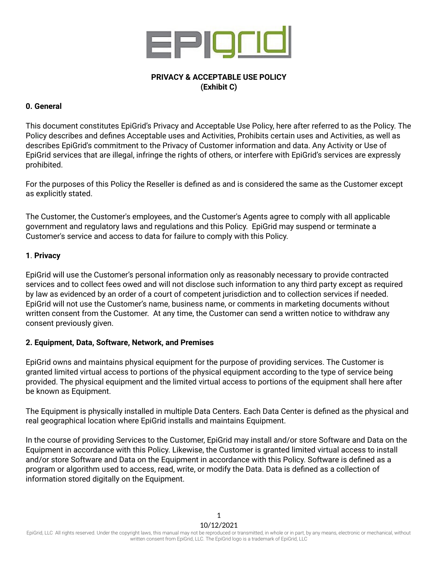

# **PRIVACY & ACCEPTABLE USE POLICY (Exhibit C)**

# **0. General**

This document constitutes EpiGrid's Privacy and Acceptable Use Policy, here after referred to as the Policy. The Policy describes and defines Acceptable uses and Activities, Prohibits certain uses and Activities, as well as describes EpiGrid's commitment to the Privacy of Customer information and data. Any Activity or Use of EpiGrid services that are illegal, infringe the rights of others, or interfere with EpiGrid's services are expressly prohibited.

For the purposes of this Policy the Reseller is defined as and is considered the same as the Customer except as explicitly stated.

The Customer, the Customer's employees, and the Customer's Agents agree to comply with all applicable government and regulatory laws and regulations and this Policy. EpiGrid may suspend or terminate a Customer's service and access to data for failure to comply with this Policy.

# **1**. **Privacy**

EpiGrid will use the Customer's personal information only as reasonably necessary to provide contracted services and to collect fees owed and will not disclose such information to any third party except as required by law as evidenced by an order of a court of competent jurisdiction and to collection services if needed. EpiGrid will not use the Customer's name, business name, or comments in marketing documents without written consent from the Customer. At any time, the Customer can send a written notice to withdraw any consent previously given.

## **2. Equipment, Data, Software, Network, and Premises**

EpiGrid owns and maintains physical equipment for the purpose of providing services. The Customer is granted limited virtual access to portions of the physical equipment according to the type of service being provided. The physical equipment and the limited virtual access to portions of the equipment shall here after be known as Equipment.

The Equipment is physically installed in multiple Data Centers. Each Data Center is defined as the physical and real geographical location where EpiGrid installs and maintains Equipment.

In the course of providing Services to the Customer, EpiGrid may install and/or store Software and Data on the Equipment in accordance with this Policy. Likewise, the Customer is granted limited virtual access to install and/or store Software and Data on the Equipment in accordance with this Policy. Software is defined as a program or algorithm used to access, read, write, or modify the Data. Data is defined as a collection of information stored digitally on the Equipment.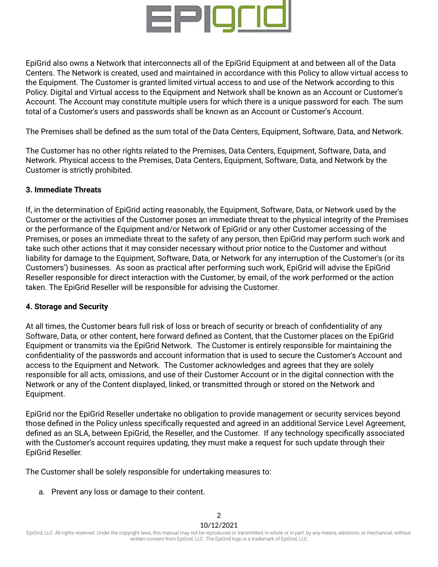

EpiGrid also owns a Network that interconnects all of the EpiGrid Equipment at and between all of the Data Centers. The Network is created, used and maintained in accordance with this Policy to allow virtual access to the Equipment. The Customer is granted limited virtual access to and use of the Network according to this Policy. Digital and Virtual access to the Equipment and Network shall be known as an Account or Customer's Account. The Account may constitute multiple users for which there is a unique password for each. The sum total of a Customer's users and passwords shall be known as an Account or Customer's Account.

The Premises shall be defined as the sum total of the Data Centers, Equipment, Software, Data, and Network.

The Customer has no other rights related to the Premises, Data Centers, Equipment, Software, Data, and Network. Physical access to the Premises, Data Centers, Equipment, Software, Data, and Network by the Customer is strictly prohibited.

## **3. Immediate Threats**

If, in the determination of EpiGrid acting reasonably, the Equipment, Software, Data, or Network used by the Customer or the activities of the Customer poses an immediate threat to the physical integrity of the Premises or the performance of the Equipment and/or Network of EpiGrid or any other Customer accessing of the Premises, or poses an immediate threat to the safety of any person, then EpiGrid may perform such work and take such other actions that it may consider necessary without prior notice to the Customer and without liability for damage to the Equipment, Software, Data, or Network for any interruption of the Customer's (or its Customers') businesses. As soon as practical after performing such work, EpiGrid will advise the EpiGrid Reseller responsible for direct interaction with the Customer, by email, of the work performed or the action taken. The EpiGrid Reseller will be responsible for advising the Customer.

## **4. Storage and Security**

At all times, the Customer bears full risk of loss or breach of security or breach of confidentiality of any Software, Data, or other content, here forward defined as Content, that the Customer places on the EpiGrid Equipment or transmits via the EpiGrid Network. The Customer is entirely responsible for maintaining the confidentiality of the passwords and account information that is used to secure the Customer's Account and access to the Equipment and Network. The Customer acknowledges and agrees that they are solely responsible for all acts, omissions, and use of their Customer Account or in the digital connection with the Network or any of the Content displayed, linked, or transmitted through or stored on the Network and Equipment.

EpiGrid nor the EpiGrid Reseller undertake no obligation to provide management or security services beyond those defined in the Policy unless specifically requested and agreed in an additional Service Level Agreement, defined as an SLA, between EpiGrid, the Reseller, and the Customer. If any technology specifically associated with the Customer's account requires updating, they must make a request for such update through their EpiGrid Reseller.

The Customer shall be solely responsible for undertaking measures to:

a. Prevent any loss or damage to their content.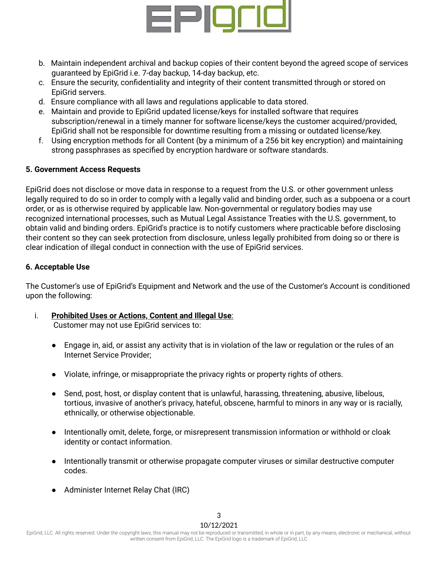

- b. Maintain independent archival and backup copies of their content beyond the agreed scope of services guaranteed by EpiGrid i.e. 7-day backup, 14-day backup, etc.
- c. Ensure the security, confidentiality and integrity of their content transmitted through or stored on EpiGrid servers.
- d. Ensure compliance with all laws and regulations applicable to data stored.
- e. Maintain and provide to EpiGrid updated license/keys for installed software that requires subscription/renewal in a timely manner for software license/keys the customer acquired/provided, EpiGrid shall not be responsible for downtime resulting from a missing or outdated license/key.
- f. Using encryption methods for all Content (by a minimum of a 256 bit key encryption) and maintaining strong passphrases as specified by encryption hardware or software standards.

# **5. Government Access Requests**

EpiGrid does not disclose or move data in response to a request from the U.S. or other government unless legally required to do so in order to comply with a legally valid and binding order, such as a subpoena or a court order, or as is otherwise required by applicable law. Non-governmental or regulatory bodies may use recognized international processes, such as Mutual Legal Assistance Treaties with the U.S. government, to obtain valid and binding orders. EpiGrid's practice is to notify customers where practicable before disclosing their content so they can seek protection from disclosure, unless legally prohibited from doing so or there is clear indication of illegal conduct in connection with the use of EpiGrid services.

# **6. Acceptable Use**

The Customer's use of EpiGrid's Equipment and Network and the use of the Customer's Account is conditioned upon the following:

- i. **Prohibited Uses or Actions, Content and Illegal Use**: Customer may not use EpiGrid services to:
	- Engage in, aid, or assist any activity that is in violation of the law or regulation or the rules of an Internet Service Provider;
	- Violate, infringe, or misappropriate the privacy rights or property rights of others.
	- Send, post, host, or display content that is unlawful, harassing, threatening, abusive, libelous, tortious, invasive of another's privacy, hateful, obscene, harmful to minors in any way or is racially, ethnically, or otherwise objectionable.
	- Intentionally omit, delete, forge, or misrepresent transmission information or withhold or cloak identity or contact information.
	- Intentionally transmit or otherwise propagate computer viruses or similar destructive computer codes.
	- Administer Internet Relay Chat (IRC)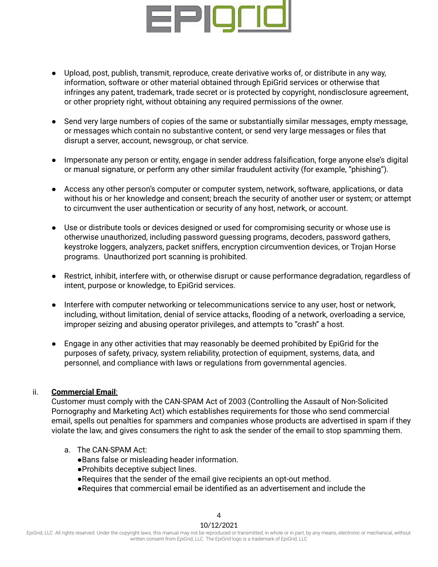

- Upload, post, publish, transmit, reproduce, create derivative works of, or distribute in any way, information, software or other material obtained through EpiGrid services or otherwise that infringes any patent, trademark, trade secret or is protected by copyright, nondisclosure agreement, or other propriety right, without obtaining any required permissions of the owner.
- Send very large numbers of copies of the same or substantially similar messages, empty message, or messages which contain no substantive content, or send very large messages or files that disrupt a server, account, newsgroup, or chat service.
- Impersonate any person or entity, engage in sender address falsification, forge anyone else's digital or manual signature, or perform any other similar fraudulent activity (for example, "phishing").
- Access any other person's computer or computer system, network, software, applications, or data without his or her knowledge and consent; breach the security of another user or system; or attempt to circumvent the user authentication or security of any host, network, or account.
- Use or distribute tools or devices designed or used for compromising security or whose use is otherwise unauthorized, including password guessing programs, decoders, password gathers, keystroke loggers, analyzers, packet sniffers, encryption circumvention devices, or Trojan Horse programs. Unauthorized port scanning is prohibited.
- Restrict, inhibit, interfere with, or otherwise disrupt or cause performance degradation, regardless of intent, purpose or knowledge, to EpiGrid services.
- Interfere with computer networking or telecommunications service to any user, host or network, including, without limitation, denial of service attacks, flooding of a network, overloading a service, improper seizing and abusing operator privileges, and attempts to "crash" a host.
- Engage in any other activities that may reasonably be deemed prohibited by EpiGrid for the purposes of safety, privacy, system reliability, protection of equipment, systems, data, and personnel, and compliance with laws or regulations from governmental agencies.

## ii. **Commercial Email**:

Customer must comply with the CAN-SPAM Act of 2003 (Controlling the Assault of Non-Solicited Pornography and Marketing Act) which establishes requirements for those who send commercial email, spells out penalties for spammers and companies whose products are advertised in spam if they violate the law, and gives consumers the right to ask the sender of the email to stop spamming them.

- a. The CAN-SPAM Act:
	- ●Bans false or misleading header information.
	- ●Prohibits deceptive subject lines.
	- ●Requires that the sender of the email give recipients an opt-out method.
	- ●Requires that commercial email be identified as an advertisement and include the

4

10/12/2021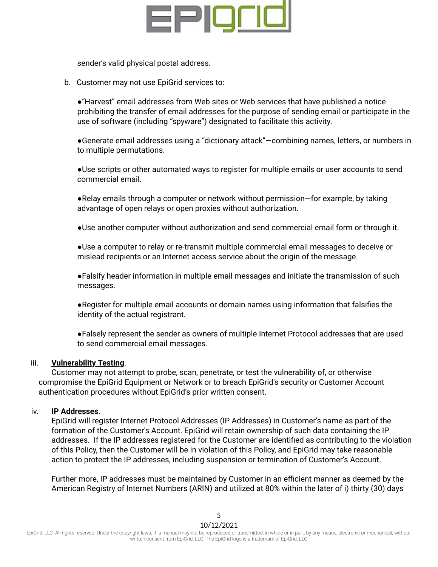

sender's valid physical postal address.

b. Customer may not use EpiGrid services to:

●"Harvest" email addresses from Web sites or Web services that have published a notice prohibiting the transfer of email addresses for the purpose of sending email or participate in the use of software (including "spyware") designated to facilitate this activity.

●Generate email addresses using a "dictionary attack"—combining names, letters, or numbers in to multiple permutations.

●Use scripts or other automated ways to register for multiple emails or user accounts to send commercial email.

●Relay emails through a computer or network without permission—for example, by taking advantage of open relays or open proxies without authorization.

●Use another computer without authorization and send commercial email form or through it.

●Use a computer to relay or re-transmit multiple commercial email messages to deceive or mislead recipients or an Internet access service about the origin of the message.

●Falsify header information in multiple email messages and initiate the transmission of such messages.

●Register for multiple email accounts or domain names using information that falsifies the identity of the actual registrant.

●Falsely represent the sender as owners of multiple Internet Protocol addresses that are used to send commercial email messages.

## iii. **Vulnerability Testing**.

Customer may not attempt to probe, scan, penetrate, or test the vulnerability of, or otherwise compromise the EpiGrid Equipment or Network or to breach EpiGrid's security or Customer Account authentication procedures without EpiGrid's prior written consent.

#### iv. **IP Addresses**.

EpiGrid will register Internet Protocol Addresses (IP Addresses) in Customer's name as part of the formation of the Customer's Account. EpiGrid will retain ownership of such data containing the IP addresses. If the IP addresses registered for the Customer are identified as contributing to the violation of this Policy, then the Customer will be in violation of this Policy, and EpiGrid may take reasonable action to protect the IP addresses, including suspension or termination of Customer's Account.

Further more, IP addresses must be maintained by Customer in an efficient manner as deemed by the American Registry of Internet Numbers (ARIN) and utilized at 80% within the later of i) thirty (30) days